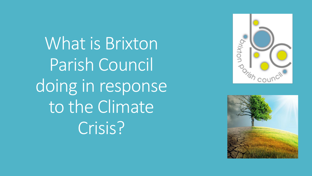What is Brixton Parish Council doing in response to the Climate Crisis?



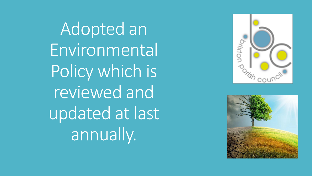Adopted an Environmental Policy which is reviewed and updated at last annually.



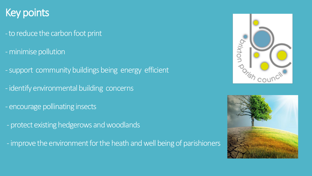## Key points

- -to reduce the carbon foot print
- -minimise pollution
- -support community buildings being energy efficient
- -identify environmental building concerns
- encourage pollinating insects
- protect existing hedgerows and woodlands
- -improve the environment for the heath and well being of parishioners



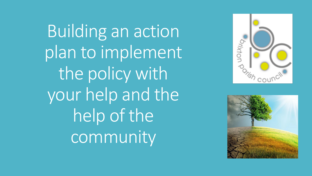Building an action plan to implement the policy with your help and the help of the community



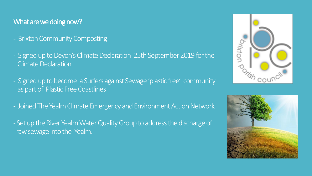## What are we doing now?

- Brixton Community Composting
- Signed up to Devon's Climate Declaration 25th September 2019 for the Climate Declaration
- Signed up to become a Surfers against Sewage 'plastic free' community as part of Plastic Free Coastlines
- Joined The Yealm Climate Emergency and Environment Action Network
- Set up the River Yealm Water Quality Group to address the discharge of raw sewage into the Yealm.



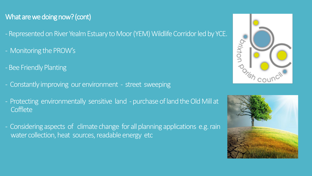## What are we doing now? (cont)

- Represented on River Yealm Estuary to Moor (YEM) Wildlife Corridor led by YCE.
- Monitoring the PROW's
- -Bee Friendly Planting
- Constantly improving our environment street sweeping
- Protecting environmentally sensitive land purchase of land the Old Mill at **Cofflete**
- Considering aspects of climate change for all planning applications e.g. rain water collection, heat sources, readable energy etc



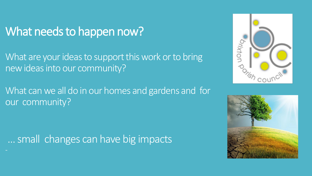## What needs to happen now?

What are your ideas to support this work or to bring new ideas into our community?

What can we all do in our homes and gardens and for our community?

… small changes can have big impacts